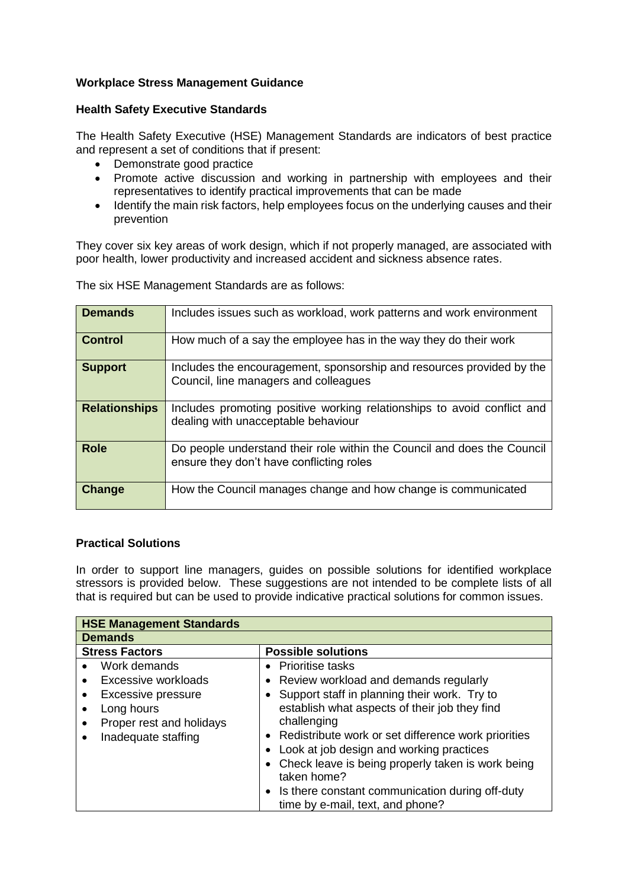## **Workplace Stress Management Guidance**

## **Health Safety Executive Standards**

The Health Safety Executive (HSE) Management Standards are indicators of best practice and represent a set of conditions that if present:

- Demonstrate good practice
- Promote active discussion and working in partnership with employees and their representatives to identify practical improvements that can be made
- Identify the main risk factors, help employees focus on the underlying causes and their prevention

They cover six key areas of work design, which if not properly managed, are associated with poor health, lower productivity and increased accident and sickness absence rates.

| <b>Demands</b>       | Includes issues such as workload, work patterns and work environment                                                |
|----------------------|---------------------------------------------------------------------------------------------------------------------|
| <b>Control</b>       | How much of a say the employee has in the way they do their work                                                    |
| <b>Support</b>       | Includes the encouragement, sponsorship and resources provided by the<br>Council, line managers and colleagues      |
| <b>Relationships</b> | Includes promoting positive working relationships to avoid conflict and<br>dealing with unacceptable behaviour      |
| <b>Role</b>          | Do people understand their role within the Council and does the Council<br>ensure they don't have conflicting roles |
| Change               | How the Council manages change and how change is communicated                                                       |

The six HSE Management Standards are as follows:

## **Practical Solutions**

In order to support line managers, guides on possible solutions for identified workplace stressors is provided below. These suggestions are not intended to be complete lists of all that is required but can be used to provide indicative practical solutions for common issues.

| <b>HSE Management Standards</b><br><b>Demands</b> |                                                                                       |  |  |  |
|---------------------------------------------------|---------------------------------------------------------------------------------------|--|--|--|
|                                                   |                                                                                       |  |  |  |
| Work demands<br>$\bullet$                         | • Prioritise tasks                                                                    |  |  |  |
| Excessive workloads                               | • Review workload and demands regularly                                               |  |  |  |
| Excessive pressure                                | • Support staff in planning their work. Try to                                        |  |  |  |
| Long hours<br>$\bullet$                           | establish what aspects of their job they find                                         |  |  |  |
| Proper rest and holidays<br>٠                     | challenging                                                                           |  |  |  |
| Inadequate staffing                               | • Redistribute work or set difference work priorities                                 |  |  |  |
|                                                   | Look at job design and working practices                                              |  |  |  |
|                                                   | • Check leave is being properly taken is work being<br>taken home?                    |  |  |  |
|                                                   | • Is there constant communication during off-duty<br>time by e-mail, text, and phone? |  |  |  |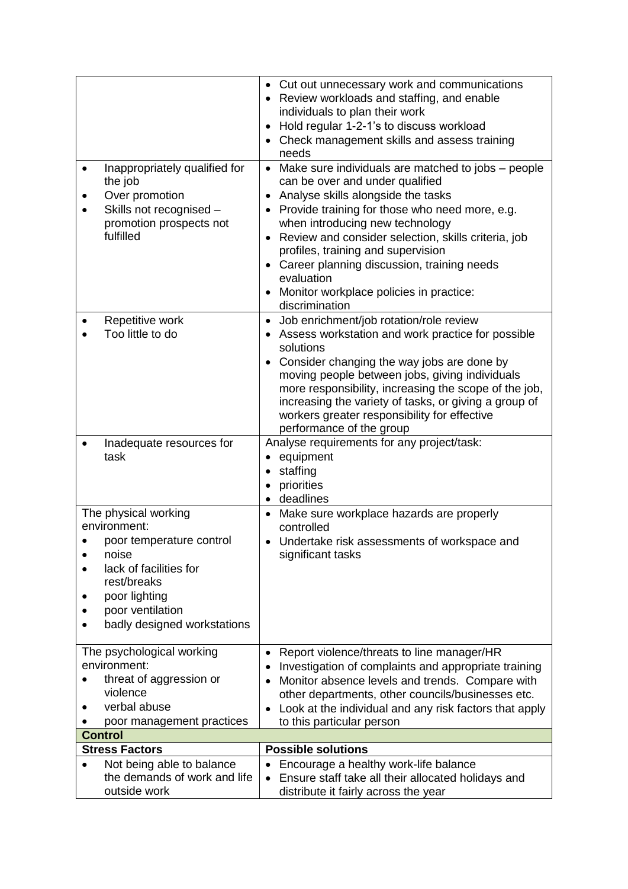| Inappropriately qualified for<br>$\bullet$                             | • Cut out unnecessary work and communications<br>• Review workloads and staffing, and enable<br>individuals to plan their work<br>• Hold regular 1-2-1's to discuss workload<br>Check management skills and assess training<br>needs<br>• Make sure individuals are matched to jobs – people |
|------------------------------------------------------------------------|----------------------------------------------------------------------------------------------------------------------------------------------------------------------------------------------------------------------------------------------------------------------------------------------|
| the job<br>Over promotion                                              | can be over and under qualified<br>Analyse skills alongside the tasks                                                                                                                                                                                                                        |
| Skills not recognised -                                                | Provide training for those who need more, e.g.                                                                                                                                                                                                                                               |
| promotion prospects not                                                | when introducing new technology                                                                                                                                                                                                                                                              |
| fulfilled                                                              | Review and consider selection, skills criteria, job<br>profiles, training and supervision                                                                                                                                                                                                    |
|                                                                        | • Career planning discussion, training needs<br>evaluation                                                                                                                                                                                                                                   |
|                                                                        | Monitor workplace policies in practice:                                                                                                                                                                                                                                                      |
|                                                                        | discrimination                                                                                                                                                                                                                                                                               |
| Repetitive work<br>Too little to do                                    | Job enrichment/job rotation/role review<br>• Assess workstation and work practice for possible                                                                                                                                                                                               |
|                                                                        | solutions                                                                                                                                                                                                                                                                                    |
|                                                                        | Consider changing the way jobs are done by                                                                                                                                                                                                                                                   |
|                                                                        | moving people between jobs, giving individuals<br>more responsibility, increasing the scope of the job,                                                                                                                                                                                      |
|                                                                        | increasing the variety of tasks, or giving a group of                                                                                                                                                                                                                                        |
|                                                                        | workers greater responsibility for effective<br>performance of the group                                                                                                                                                                                                                     |
| Inadequate resources for                                               | Analyse requirements for any project/task:                                                                                                                                                                                                                                                   |
| task                                                                   | equipment                                                                                                                                                                                                                                                                                    |
|                                                                        | staffing<br>$\bullet$<br>priorities                                                                                                                                                                                                                                                          |
|                                                                        | $\bullet$<br>deadlines                                                                                                                                                                                                                                                                       |
| The physical working<br>environment:                                   | Make sure workplace hazards are properly<br>$\bullet$<br>controlled                                                                                                                                                                                                                          |
| poor temperature control                                               | • Undertake risk assessments of workspace and                                                                                                                                                                                                                                                |
| noise<br>$\bullet$<br>lack of facilities for                           | significant tasks                                                                                                                                                                                                                                                                            |
| rest/breaks                                                            |                                                                                                                                                                                                                                                                                              |
| poor lighting                                                          |                                                                                                                                                                                                                                                                                              |
| poor ventilation                                                       |                                                                                                                                                                                                                                                                                              |
| badly designed workstations                                            |                                                                                                                                                                                                                                                                                              |
| The psychological working                                              | Report violence/threats to line manager/HR<br>٠                                                                                                                                                                                                                                              |
| environment:<br>threat of aggression or                                | Investigation of complaints and appropriate training<br>٠                                                                                                                                                                                                                                    |
| violence                                                               | Monitor absence levels and trends. Compare with<br>$\bullet$<br>other departments, other councils/businesses etc.                                                                                                                                                                            |
| verbal abuse                                                           | Look at the individual and any risk factors that apply                                                                                                                                                                                                                                       |
| poor management practices<br><b>Control</b>                            | to this particular person                                                                                                                                                                                                                                                                    |
| <b>Stress Factors</b>                                                  | <b>Possible solutions</b>                                                                                                                                                                                                                                                                    |
| Not being able to balance<br>$\bullet$<br>the demands of work and life | Encourage a healthy work-life balance<br>Ensure staff take all their allocated holidays and<br>$\bullet$                                                                                                                                                                                     |
| outside work                                                           | distribute it fairly across the year                                                                                                                                                                                                                                                         |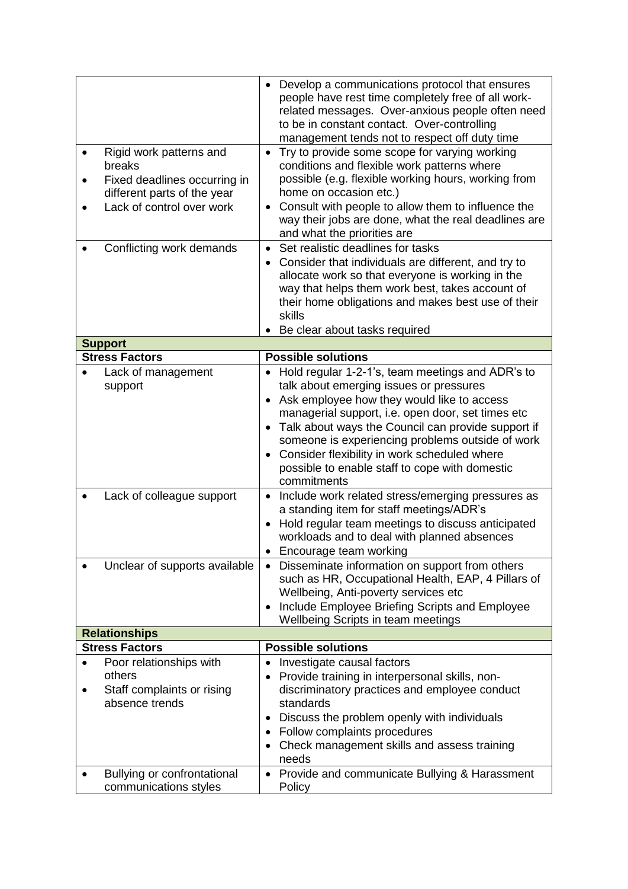| Rigid work patterns and<br>٠<br>breaks<br>Fixed deadlines occurring in<br>$\bullet$<br>different parts of the year<br>Lack of control over work<br>$\bullet$ | Develop a communications protocol that ensures<br>$\bullet$<br>people have rest time completely free of all work-<br>related messages. Over-anxious people often need<br>to be in constant contact. Over-controlling<br>management tends not to respect off duty time<br>Try to provide some scope for varying working<br>$\bullet$<br>conditions and flexible work patterns where<br>possible (e.g. flexible working hours, working from<br>home on occasion etc.)<br>Consult with people to allow them to influence the<br>$\bullet$<br>way their jobs are done, what the real deadlines are                                                                                                                                                                                                                                                                                                                                                       |  |  |  |
|--------------------------------------------------------------------------------------------------------------------------------------------------------------|------------------------------------------------------------------------------------------------------------------------------------------------------------------------------------------------------------------------------------------------------------------------------------------------------------------------------------------------------------------------------------------------------------------------------------------------------------------------------------------------------------------------------------------------------------------------------------------------------------------------------------------------------------------------------------------------------------------------------------------------------------------------------------------------------------------------------------------------------------------------------------------------------------------------------------------------------|--|--|--|
| Conflicting work demands                                                                                                                                     | and what the priorities are<br>Set realistic deadlines for tasks<br>$\bullet$<br>Consider that individuals are different, and try to<br>allocate work so that everyone is working in the<br>way that helps them work best, takes account of<br>their home obligations and makes best use of their<br>skills<br>Be clear about tasks required                                                                                                                                                                                                                                                                                                                                                                                                                                                                                                                                                                                                         |  |  |  |
| <b>Support</b>                                                                                                                                               |                                                                                                                                                                                                                                                                                                                                                                                                                                                                                                                                                                                                                                                                                                                                                                                                                                                                                                                                                      |  |  |  |
| <b>Stress Factors</b>                                                                                                                                        | <b>Possible solutions</b>                                                                                                                                                                                                                                                                                                                                                                                                                                                                                                                                                                                                                                                                                                                                                                                                                                                                                                                            |  |  |  |
| Lack of management<br>support<br>Lack of colleague support<br>Unclear of supports available                                                                  | Hold regular 1-2-1's, team meetings and ADR's to<br>talk about emerging issues or pressures<br>Ask employee how they would like to access<br>$\bullet$<br>managerial support, i.e. open door, set times etc<br>Talk about ways the Council can provide support if<br>$\bullet$<br>someone is experiencing problems outside of work<br>Consider flexibility in work scheduled where<br>possible to enable staff to cope with domestic<br>commitments<br>Include work related stress/emerging pressures as<br>$\bullet$<br>a standing item for staff meetings/ADR's<br>Hold regular team meetings to discuss anticipated<br>workloads and to deal with planned absences<br>Encourage team working<br>Disseminate information on support from others<br>$\bullet$<br>such as HR, Occupational Health, EAP, 4 Pillars of<br>Wellbeing, Anti-poverty services etc<br>Include Employee Briefing Scripts and Employee<br>Wellbeing Scripts in team meetings |  |  |  |
| <b>Relationships</b>                                                                                                                                         |                                                                                                                                                                                                                                                                                                                                                                                                                                                                                                                                                                                                                                                                                                                                                                                                                                                                                                                                                      |  |  |  |
| <b>Stress Factors</b>                                                                                                                                        | <b>Possible solutions</b>                                                                                                                                                                                                                                                                                                                                                                                                                                                                                                                                                                                                                                                                                                                                                                                                                                                                                                                            |  |  |  |
| Poor relationships with                                                                                                                                      | Investigate causal factors                                                                                                                                                                                                                                                                                                                                                                                                                                                                                                                                                                                                                                                                                                                                                                                                                                                                                                                           |  |  |  |
| others<br>Staff complaints or rising<br>absence trends<br>Bullying or confrontational                                                                        | Provide training in interpersonal skills, non-<br>discriminatory practices and employee conduct<br>standards<br>Discuss the problem openly with individuals<br>٠<br>Follow complaints procedures<br>$\bullet$<br>Check management skills and assess training<br>needs<br>Provide and communicate Bullying & Harassment<br>٠                                                                                                                                                                                                                                                                                                                                                                                                                                                                                                                                                                                                                          |  |  |  |
| communications styles                                                                                                                                        | Policy                                                                                                                                                                                                                                                                                                                                                                                                                                                                                                                                                                                                                                                                                                                                                                                                                                                                                                                                               |  |  |  |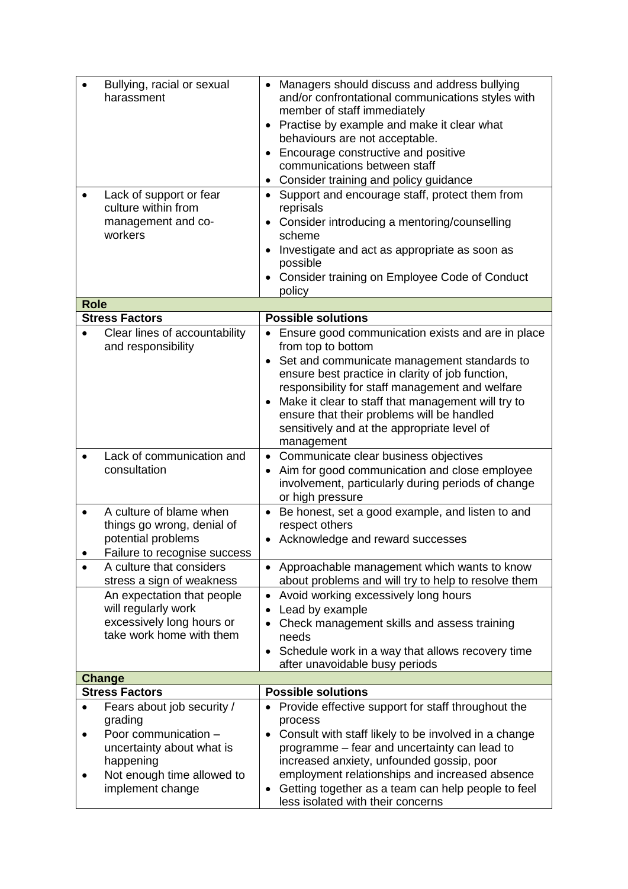| Bullying, racial or sexual<br>harassment<br>Lack of support or fear<br>culture within from<br>management and co-<br>workers                                                  | Managers should discuss and address bullying<br>and/or confrontational communications styles with<br>member of staff immediately<br>Practise by example and make it clear what<br>behaviours are not acceptable.<br>• Encourage constructive and positive<br>communications between staff<br>• Consider training and policy guidance<br>Support and encourage staff, protect them from<br>$\bullet$<br>reprisals<br>Consider introducing a mentoring/counselling<br>$\bullet$<br>scheme<br>Investigate and act as appropriate as soon as<br>$\bullet$ |
|------------------------------------------------------------------------------------------------------------------------------------------------------------------------------|-------------------------------------------------------------------------------------------------------------------------------------------------------------------------------------------------------------------------------------------------------------------------------------------------------------------------------------------------------------------------------------------------------------------------------------------------------------------------------------------------------------------------------------------------------|
|                                                                                                                                                                              | possible<br>Consider training on Employee Code of Conduct                                                                                                                                                                                                                                                                                                                                                                                                                                                                                             |
|                                                                                                                                                                              | policy                                                                                                                                                                                                                                                                                                                                                                                                                                                                                                                                                |
| <b>Role</b>                                                                                                                                                                  |                                                                                                                                                                                                                                                                                                                                                                                                                                                                                                                                                       |
| <b>Stress Factors</b>                                                                                                                                                        | <b>Possible solutions</b>                                                                                                                                                                                                                                                                                                                                                                                                                                                                                                                             |
| Clear lines of accountability<br>and responsibility                                                                                                                          | Ensure good communication exists and are in place<br>from top to bottom<br>Set and communicate management standards to<br>ensure best practice in clarity of job function,<br>responsibility for staff management and welfare<br>Make it clear to staff that management will try to<br>ensure that their problems will be handled<br>sensitively and at the appropriate level of<br>management                                                                                                                                                        |
| Lack of communication and<br>consultation                                                                                                                                    | Communicate clear business objectives<br>$\bullet$<br>Aim for good communication and close employee<br>$\bullet$<br>involvement, particularly during periods of change<br>or high pressure                                                                                                                                                                                                                                                                                                                                                            |
| A culture of blame when<br>things go wrong, denial of<br>potential problems<br>Failure to recognise success                                                                  | Be honest, set a good example, and listen to and<br>respect others<br>Acknowledge and reward successes                                                                                                                                                                                                                                                                                                                                                                                                                                                |
| A culture that considers<br>$\bullet$<br>stress a sign of weakness                                                                                                           | • Approachable management which wants to know<br>about problems and will try to help to resolve them                                                                                                                                                                                                                                                                                                                                                                                                                                                  |
| An expectation that people<br>will regularly work<br>excessively long hours or<br>take work home with them                                                                   | Avoid working excessively long hours<br>$\bullet$<br>Lead by example<br>$\bullet$<br>Check management skills and assess training<br>needs<br>Schedule work in a way that allows recovery time<br>$\bullet$<br>after unavoidable busy periods                                                                                                                                                                                                                                                                                                          |
| <b>Change</b>                                                                                                                                                                |                                                                                                                                                                                                                                                                                                                                                                                                                                                                                                                                                       |
| <b>Stress Factors</b>                                                                                                                                                        | <b>Possible solutions</b>                                                                                                                                                                                                                                                                                                                                                                                                                                                                                                                             |
| Fears about job security /<br>$\bullet$<br>grading<br>Poor communication -<br>$\bullet$<br>uncertainty about what is<br>happening<br>Not enough time allowed to<br>$\bullet$ | Provide effective support for staff throughout the<br>process<br>Consult with staff likely to be involved in a change<br>$\bullet$<br>programme – fear and uncertainty can lead to<br>increased anxiety, unfounded gossip, poor<br>employment relationships and increased absence                                                                                                                                                                                                                                                                     |
| implement change                                                                                                                                                             | Getting together as a team can help people to feel<br>$\bullet$<br>less isolated with their concerns                                                                                                                                                                                                                                                                                                                                                                                                                                                  |